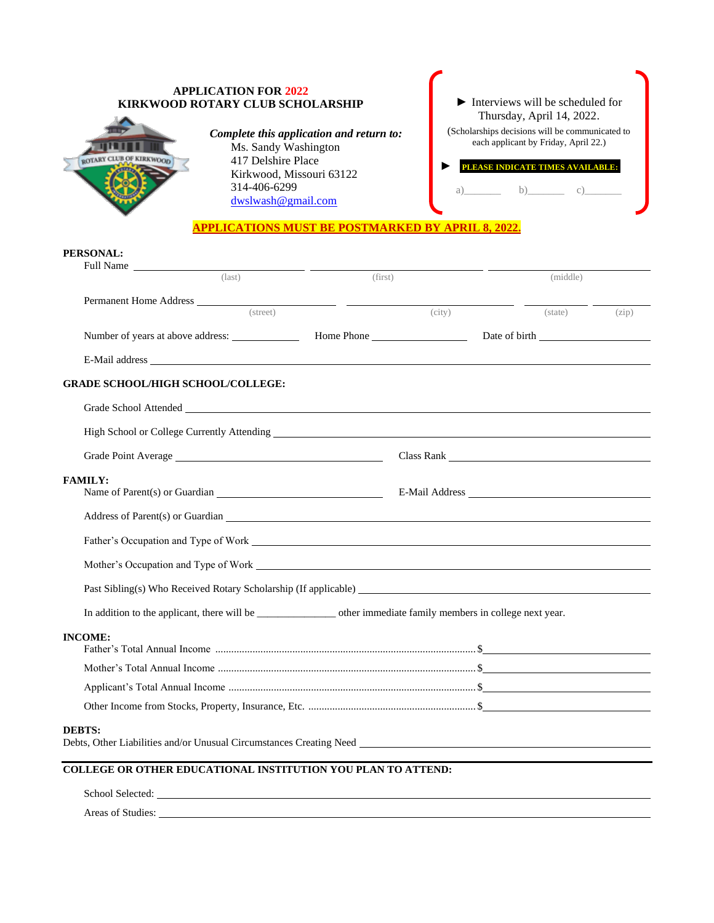## **APPLICATION FOR 2022** ► Interviews will be scheduled for **KIRKWOOD ROTARY CLUB SCHOLARSHIP** Thursday, April 14, 2022. (Scholarships decisions will be communicated to *Complete this application and return to:* Ms. Sandy Washington each applicant by Friday, April 22.) ROTARY CLUB OF KIRKWOOD 417 Delshire Place ► .**PLEASE INDICATE TIMES AVAILABLE:.** Kirkwood, Missouri 63122 314-406-6299 a)  $b)$  c) [dwslwash@gmail.com](mailto:dwslwash@gmail.com) **APPLICATIONS MUST BE POSTMARKED BY APRIL 8, 2022.**

## **PERSONAL:** Full Name

| $Full Name \_\_$<br>$\overline{\text{(last)}}$                                                                                                                                                                                       | (first) |        | (middle) |       |
|--------------------------------------------------------------------------------------------------------------------------------------------------------------------------------------------------------------------------------------|---------|--------|----------|-------|
| (street)                                                                                                                                                                                                                             |         | (city) | (state)  | (zip) |
|                                                                                                                                                                                                                                      |         |        |          |       |
|                                                                                                                                                                                                                                      |         |        |          |       |
| <b>GRADE SCHOOL/HIGH SCHOOL/COLLEGE:</b>                                                                                                                                                                                             |         |        |          |       |
| Grade School Attended Contract Contract Contract Contract Contract Contract Contract Contract Contract Contract Contract Contract Contract Contract Contract Contract Contract Contract Contract Contract Contract Contract Co       |         |        |          |       |
|                                                                                                                                                                                                                                      |         |        |          |       |
|                                                                                                                                                                                                                                      |         |        |          |       |
| <b>FAMILY:</b>                                                                                                                                                                                                                       |         |        |          |       |
| Address of Parent(s) or Guardian                                                                                                                                                                                                     |         |        |          |       |
| Father's Occupation and Type of Work <u>contract the contract of the set of the set of the set of the set of the set of the set of the set of the set of the set of the set of the set of the set of the set of the set of the s</u> |         |        |          |       |
| Mother's Occupation and Type of Work League and Type of Work League and Type of Work                                                                                                                                                 |         |        |          |       |
|                                                                                                                                                                                                                                      |         |        |          |       |
|                                                                                                                                                                                                                                      |         |        |          |       |
| <b>INCOME:</b>                                                                                                                                                                                                                       |         |        |          |       |
|                                                                                                                                                                                                                                      |         |        |          |       |
|                                                                                                                                                                                                                                      |         |        |          |       |
|                                                                                                                                                                                                                                      |         |        |          |       |
| <b>DEBTS:</b>                                                                                                                                                                                                                        |         |        |          |       |
| COLLEGE OR OTHER EDUCATIONAL INSTITUTION YOU PLAN TO ATTEND:                                                                                                                                                                         |         |        |          |       |

School Selected: Areas of Studies: